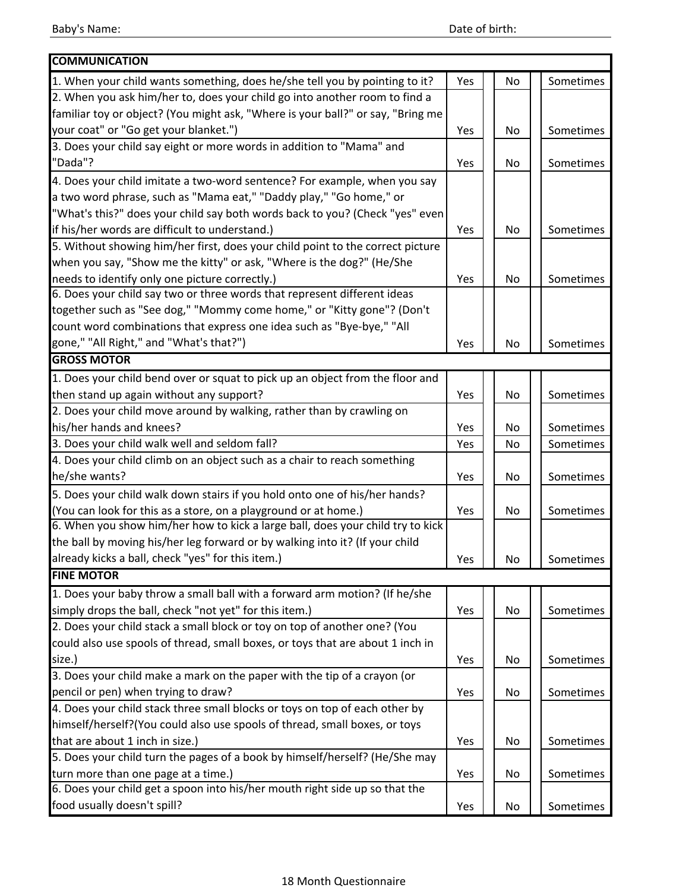| <b>COMMUNICATION</b>                                                            |     |    |           |
|---------------------------------------------------------------------------------|-----|----|-----------|
| 1. When your child wants something, does he/she tell you by pointing to it?     | Yes | No | Sometimes |
| 2. When you ask him/her to, does your child go into another room to find a      |     |    |           |
| familiar toy or object? (You might ask, "Where is your ball?" or say, "Bring me |     |    |           |
| your coat" or "Go get your blanket.")                                           | Yes | No | Sometimes |
| 3. Does your child say eight or more words in addition to "Mama" and            |     |    |           |
| "Dada"?                                                                         | Yes | No | Sometimes |
| 4. Does your child imitate a two-word sentence? For example, when you say       |     |    |           |
| a two word phrase, such as "Mama eat," "Daddy play," "Go home," or              |     |    |           |
| "What's this?" does your child say both words back to you? (Check "yes" even    |     |    |           |
| if his/her words are difficult to understand.)                                  | Yes | No | Sometimes |
| 5. Without showing him/her first, does your child point to the correct picture  |     |    |           |
| when you say, "Show me the kitty" or ask, "Where is the dog?" (He/She           |     |    |           |
| needs to identify only one picture correctly.)                                  | Yes | No | Sometimes |
| 6. Does your child say two or three words that represent different ideas        |     |    |           |
| together such as "See dog," "Mommy come home," or "Kitty gone"? (Don't          |     |    |           |
| count word combinations that express one idea such as "Bye-bye," "All           |     |    |           |
| gone," "All Right," and "What's that?")                                         | Yes | No | Sometimes |
| <b>GROSS MOTOR</b>                                                              |     |    |           |
| 1. Does your child bend over or squat to pick up an object from the floor and   |     |    |           |
| then stand up again without any support?                                        | Yes | No | Sometimes |
| 2. Does your child move around by walking, rather than by crawling on           |     |    |           |
| his/her hands and knees?                                                        | Yes | No | Sometimes |
| 3. Does your child walk well and seldom fall?                                   | Yes | No | Sometimes |
| 4. Does your child climb on an object such as a chair to reach something        |     |    |           |
| he/she wants?                                                                   | Yes | No | Sometimes |
| 5. Does your child walk down stairs if you hold onto one of his/her hands?      |     |    |           |
| (You can look for this as a store, on a playground or at home.)                 | Yes | No | Sometimes |
| 6. When you show him/her how to kick a large ball, does your child try to kick  |     |    |           |
| the ball by moving his/her leg forward or by walking into it? (If your child    |     |    |           |
| already kicks a ball, check "yes" for this item.)                               | Yes | No | Sometimes |
| <b>FINE MOTOR</b>                                                               |     |    |           |
| 1. Does your baby throw a small ball with a forward arm motion? (If he/she      |     |    |           |
| simply drops the ball, check "not yet" for this item.)                          | Yes | No | Sometimes |
| 2. Does your child stack a small block or toy on top of another one? (You       |     |    |           |
| could also use spools of thread, small boxes, or toys that are about 1 inch in  |     |    |           |
| size.)                                                                          | Yes | No | Sometimes |
| 3. Does your child make a mark on the paper with the tip of a crayon (or        |     |    |           |
| pencil or pen) when trying to draw?                                             | Yes | No | Sometimes |
| 4. Does your child stack three small blocks or toys on top of each other by     |     |    |           |
| himself/herself?(You could also use spools of thread, small boxes, or toys      |     |    |           |
| that are about 1 inch in size.)                                                 | Yes | No | Sometimes |
| 5. Does your child turn the pages of a book by himself/herself? (He/She may     |     |    |           |
| turn more than one page at a time.)                                             | Yes | No | Sometimes |
| 6. Does your child get a spoon into his/her mouth right side up so that the     |     |    |           |
| food usually doesn't spill?                                                     | Yes | No | Sometimes |